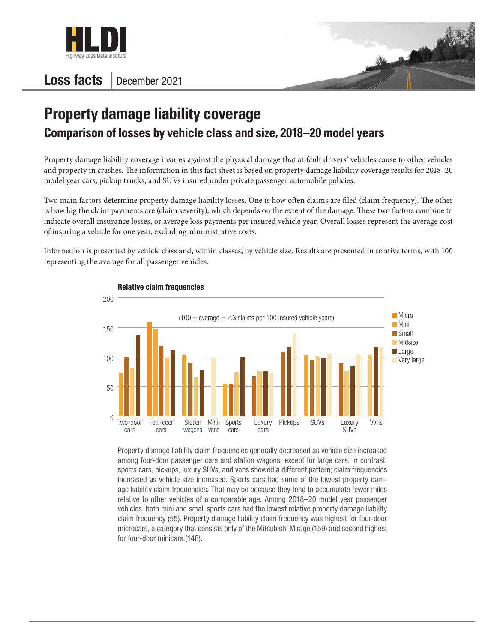

## Loss facts | December 2021



## **Property damage liability coverage Comparison of losses by vehicle class and size, 2018–20 model years**

Property damage liability coverage insures against the physical damage that at-fault drivers' vehicles cause to other vehicles and property in crashes. The information in this fact sheet is based on property damage liability coverage results for 2018–20 model year cars, pickup trucks, and SUVs insured under private passenger automobile policies.

Two main factors determine property damage liability losses. One is how often claims are filed (claim frequency). The other is how big the claim payments are (claim severity), which depends on the extent of the damage. These two factors combine to indicate overall insurance losses, or average loss payments per insured vehicle year. Overall losses represent the average cost of insuring a vehicle for one year, excluding administrative costs.

Information is presented by vehicle class and, within classes, by vehicle size. Results are presented in relative terms, with 100 representing the average for all passenger vehicles.



Property damage liability claim frequencies generally decreased as vehicle size increased among four-door passenger cars and station wagons, except for large cars. In contrast, sports cars, pickups, luxury SUVs, and vans showed a different pattern; claim frequencies increased as vehicle size increased. Sports cars had some of the lowest property damage liability claim frequencies. That may be because they tend to accumulate fewer miles relative to other vehicles of a comparable age. Among 2018–20 model year passenger vehicles, both mini and small sports cars had the lowest relative property damage liability claim frequency (55). Property damage liability claim frequency was highest for four-door microcars, a category that consists only of the Mitsubishi Mirage (159) and second highest for four-door minicars (148).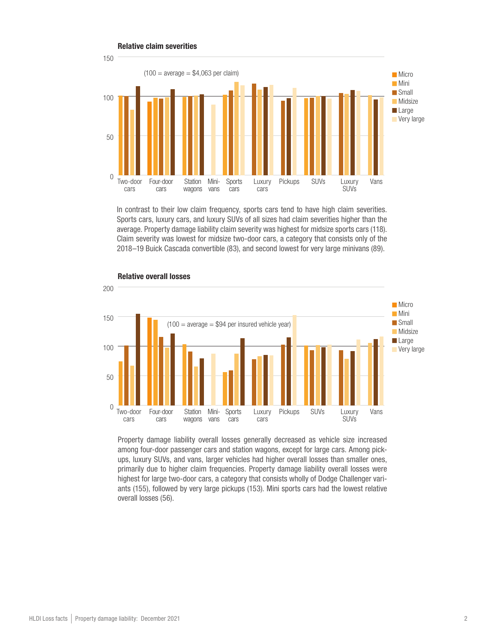

In contrast to their low claim frequency, sports cars tend to have high claim severities. Sports cars, luxury cars, and luxury SUVs of all sizes had claim severities higher than the average. Property damage liability claim severity was highest for midsize sports cars (118). Claim severity was lowest for midsize two-door cars, a category that consists only of the 2018–19 Buick Cascada convertible (83), and second lowest for very large minivans (89).



## Relative overall losses

Property damage liability overall losses generally decreased as vehicle size increased among four-door passenger cars and station wagons, except for large cars. Among pickups, luxury SUVs, and vans, larger vehicles had higher overall losses than smaller ones, primarily due to higher claim frequencies. Property damage liability overall losses were highest for large two-door cars, a category that consists wholly of Dodge Challenger variants (155), followed by very large pickups (153). Mini sports cars had the lowest relative overall losses (56).